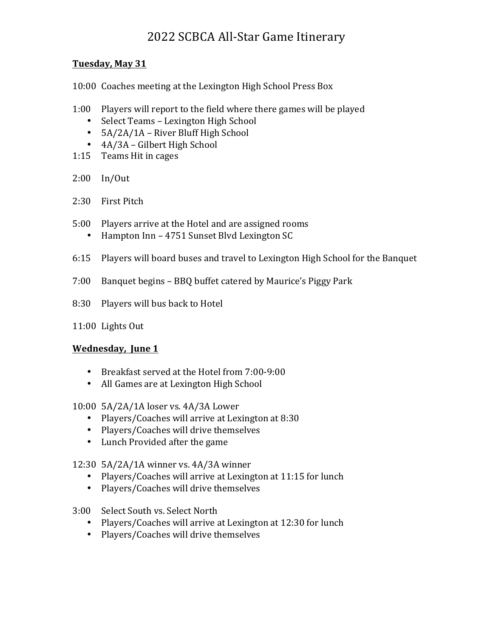# 2022 SCBCA All-Star Game Itinerary

### **Tuesday, May 31**

10:00 Coaches meeting at the Lexington High School Press Box

- 1:00 Players will report to the field where there games will be played
	- Select Teams Lexington High School
	- $5A/2A/1A$  River Bluff High School
	- 4A/3A Gilbert High School
- 1:15 Teams Hit in cages
- 2:00 In/Out
- 2:30 First Pitch
- 5:00 Players arrive at the Hotel and are assigned rooms
	- Hampton Inn 4751 Sunset Blvd Lexington SC
- 6:15 Players will board buses and travel to Lexington High School for the Banquet
- 7:00 Banquet begins BBQ buffet catered by Maurice's Piggy Park
- 8:30 Players will bus back to Hotel
- 11:00 Lights Out

## **Wednesday, June 1**

- Breakfast served at the Hotel from 7:00-9:00
- All Games are at Lexington High School

#### 10:00 5A/2A/1A loser vs. 4A/3A Lower

- Players/Coaches will arrive at Lexington at 8:30
- Players/Coaches will drive themselves
- Lunch Provided after the game
- 12:30  $5A/2A/1A$  winner vs.  $4A/3A$  winner
	- Players/Coaches will arrive at Lexington at 11:15 for lunch
	- Players/Coaches will drive themselves
- 3:00 Select South vs. Select North
	- Players/Coaches will arrive at Lexington at 12:30 for lunch
	- Players/Coaches will drive themselves